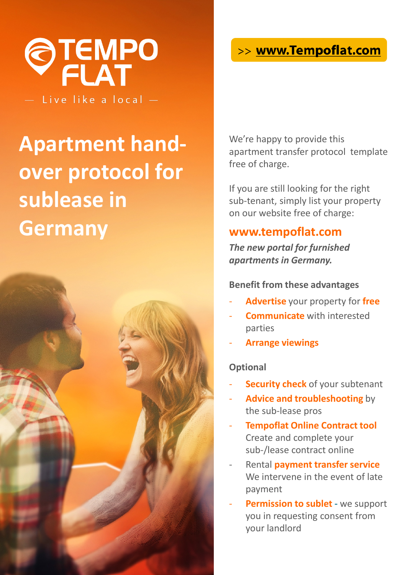

Live like a local -

# **Apartment handover protocol for sublease in Germany**



## >> www.Tempoflat.com

We're happy to provide this apartment transfer protocol template free of charge.

If you are still looking for the right sub-tenant, simply list your property on our website free of charge:

### **www.tempoflat.com**

*The new portal for furnished apartments in Germany.*

#### **Benefit from these advantages**

- **Advertise** your property for **free**
- **Communicate** with interested parties
- **Arrange viewings**

#### **Optional**

- **Security check** of your subtenant
- **Advice and troubleshooting** by the sub-lease pros
- **Tempoflat Online Contract tool** Create and complete your sub-/lease contract online
- Rental **payment transfer service**  We intervene in the event of late payment
- **Permission to sublet -** we support you in requesting consent from your landlord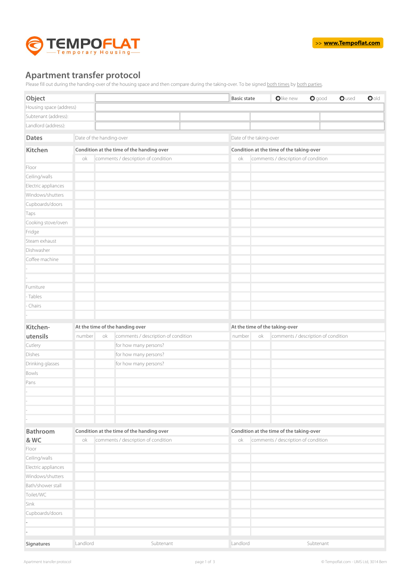

#### **Apartment transfer protocol**

Please fill out during the handing-over of the housing space and then compare during the taking-over. To be signed both times by both parties.

| Object                  |          |                                           | <b>Basic state</b>      | Olike new<br>$O$ good<br>$\bullet$ old<br>Oused |  |  |  |
|-------------------------|----------|-------------------------------------------|-------------------------|-------------------------------------------------|--|--|--|
| Housing space (address) |          |                                           |                         |                                                 |  |  |  |
| Subtenant (address):    |          |                                           |                         |                                                 |  |  |  |
| Landlord (address):     |          |                                           |                         |                                                 |  |  |  |
| <b>Dates</b>            |          | Date of the handing-over                  | Date of the taking-over |                                                 |  |  |  |
| <b>Kitchen</b>          |          | Condition at the time of the handing over |                         | Condition at the time of the taking-over        |  |  |  |
|                         | ok       | comments / description of condition       | ok                      | comments / description of condition             |  |  |  |
| Floor                   |          |                                           |                         |                                                 |  |  |  |
| Ceiling/walls           |          |                                           |                         |                                                 |  |  |  |
| Electric appliances     |          |                                           |                         |                                                 |  |  |  |
| Windows/shutters        |          |                                           |                         |                                                 |  |  |  |
| Cupboards/doors         |          |                                           |                         |                                                 |  |  |  |
| Taps                    |          |                                           |                         |                                                 |  |  |  |
| Cooking stove/oven      |          |                                           |                         |                                                 |  |  |  |
| Fridge                  |          |                                           |                         |                                                 |  |  |  |
| Steam exhaust           |          |                                           |                         |                                                 |  |  |  |
| Dishwasher              |          |                                           |                         |                                                 |  |  |  |
| Coffee machine          |          |                                           |                         |                                                 |  |  |  |
|                         |          |                                           |                         |                                                 |  |  |  |
|                         |          |                                           |                         |                                                 |  |  |  |
| Furniture               |          |                                           |                         |                                                 |  |  |  |
| - Tables                |          |                                           |                         |                                                 |  |  |  |
| Chairs                  |          |                                           |                         |                                                 |  |  |  |
|                         |          |                                           |                         |                                                 |  |  |  |
| Kitchen-                |          | At the time of the handing over           |                         | At the time of the taking-over                  |  |  |  |
| utensils                | number   | comments / description of condition<br>ok | number<br>ok            | comments / description of condition             |  |  |  |
| Cutlery                 |          | for how many persons?                     |                         |                                                 |  |  |  |
| Dishes                  |          | for how many persons?                     |                         |                                                 |  |  |  |
| Drinking glasses        |          | for how many persons?                     |                         |                                                 |  |  |  |
| Bowls                   |          |                                           |                         |                                                 |  |  |  |
| Pans                    |          |                                           |                         |                                                 |  |  |  |
|                         |          |                                           |                         |                                                 |  |  |  |
|                         |          |                                           |                         |                                                 |  |  |  |
|                         |          |                                           |                         |                                                 |  |  |  |
|                         |          |                                           |                         |                                                 |  |  |  |
| <b>Bathroom</b>         |          | Condition at the time of the handing over |                         | Condition at the time of the taking-over        |  |  |  |
| & WC                    | оk       | comments / description of condition       | οk                      | comments / description of condition             |  |  |  |
| Floor                   |          |                                           |                         |                                                 |  |  |  |
| Ceiling/walls           |          |                                           |                         |                                                 |  |  |  |
| Electric appliances     |          |                                           |                         |                                                 |  |  |  |
| Windows/shutters        |          |                                           |                         |                                                 |  |  |  |
| Bath/shower stall       |          |                                           |                         |                                                 |  |  |  |
| Toilet/WC               |          |                                           |                         |                                                 |  |  |  |
| Sink                    |          |                                           |                         |                                                 |  |  |  |
| Cupboards/doors         |          |                                           |                         |                                                 |  |  |  |
|                         |          |                                           |                         |                                                 |  |  |  |
|                         |          |                                           |                         |                                                 |  |  |  |
| Signatures              | Landlord | Subtenant                                 | Landlord                | Subtenant                                       |  |  |  |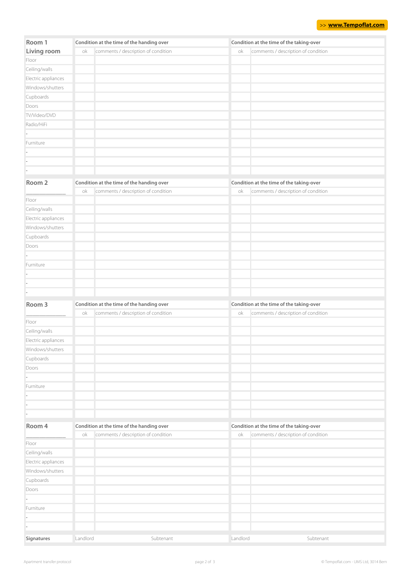| Room 1              | Condition at the time of the handing over |                                           |          | Condition at the time of the taking-over |  |  |
|---------------------|-------------------------------------------|-------------------------------------------|----------|------------------------------------------|--|--|
| Living room         | ok                                        | comments / description of condition       | оk       | comments / description of condition      |  |  |
| Floor               |                                           |                                           |          |                                          |  |  |
| Ceiling/walls       |                                           |                                           |          |                                          |  |  |
| Electric appliances |                                           |                                           |          |                                          |  |  |
| Windows/shutters    |                                           |                                           |          |                                          |  |  |
| Cupboards           |                                           |                                           |          |                                          |  |  |
| Doors               |                                           |                                           |          |                                          |  |  |
| TV/Video/DVD        |                                           |                                           |          |                                          |  |  |
| Radio/HiFi          |                                           |                                           |          |                                          |  |  |
|                     |                                           |                                           |          |                                          |  |  |
| Furniture           |                                           |                                           |          |                                          |  |  |
|                     |                                           |                                           |          |                                          |  |  |
|                     |                                           |                                           |          |                                          |  |  |
|                     |                                           |                                           |          |                                          |  |  |
| Room 2              |                                           | Condition at the time of the handing over |          | Condition at the time of the taking-over |  |  |
|                     | ok                                        | comments / description of condition       | ok       | comments / description of condition      |  |  |
| Floor               |                                           |                                           |          |                                          |  |  |
| Ceiling/walls       |                                           |                                           |          |                                          |  |  |
| Electric appliances |                                           |                                           |          |                                          |  |  |
| Windows/shutters    |                                           |                                           |          |                                          |  |  |
| Cupboards           |                                           |                                           |          |                                          |  |  |
| Doors               |                                           |                                           |          |                                          |  |  |
|                     |                                           |                                           |          |                                          |  |  |
| Furniture           |                                           |                                           |          |                                          |  |  |
|                     |                                           |                                           |          |                                          |  |  |
|                     |                                           |                                           |          |                                          |  |  |
|                     |                                           |                                           |          |                                          |  |  |
|                     |                                           |                                           |          |                                          |  |  |
| Room 3              | Condition at the time of the handing over |                                           |          | Condition at the time of the taking-over |  |  |
|                     | оk                                        | comments / description of condition       | ok       | comments / description of condition      |  |  |
| Floor               |                                           |                                           |          |                                          |  |  |
| Ceiling/walls       |                                           |                                           |          |                                          |  |  |
| Electric appliances |                                           |                                           |          |                                          |  |  |
| Windows/shutters    |                                           |                                           |          |                                          |  |  |
| Cupboards           |                                           |                                           |          |                                          |  |  |
| Doors               |                                           |                                           |          |                                          |  |  |
|                     |                                           |                                           |          |                                          |  |  |
| Furniture           |                                           |                                           |          |                                          |  |  |
|                     |                                           |                                           |          |                                          |  |  |
|                     |                                           |                                           |          |                                          |  |  |
|                     |                                           |                                           |          |                                          |  |  |
| Room 4              | Condition at the time of the handing over |                                           |          | Condition at the time of the taking-over |  |  |
|                     | оk                                        | comments / description of condition       | ok       | comments / description of condition      |  |  |
| Floor               |                                           |                                           |          |                                          |  |  |
| Ceiling/walls       |                                           |                                           |          |                                          |  |  |
| Electric appliances |                                           |                                           |          |                                          |  |  |
| Windows/shutters    |                                           |                                           |          |                                          |  |  |
| Cupboards           |                                           |                                           |          |                                          |  |  |
| Doors               |                                           |                                           |          |                                          |  |  |
|                     |                                           |                                           |          |                                          |  |  |
| Furniture           |                                           |                                           |          |                                          |  |  |
|                     |                                           |                                           |          |                                          |  |  |
|                     |                                           |                                           |          |                                          |  |  |
|                     | Landlord                                  | Subtenant                                 | Landlord | Subtenant                                |  |  |
| Signatures          |                                           |                                           |          |                                          |  |  |